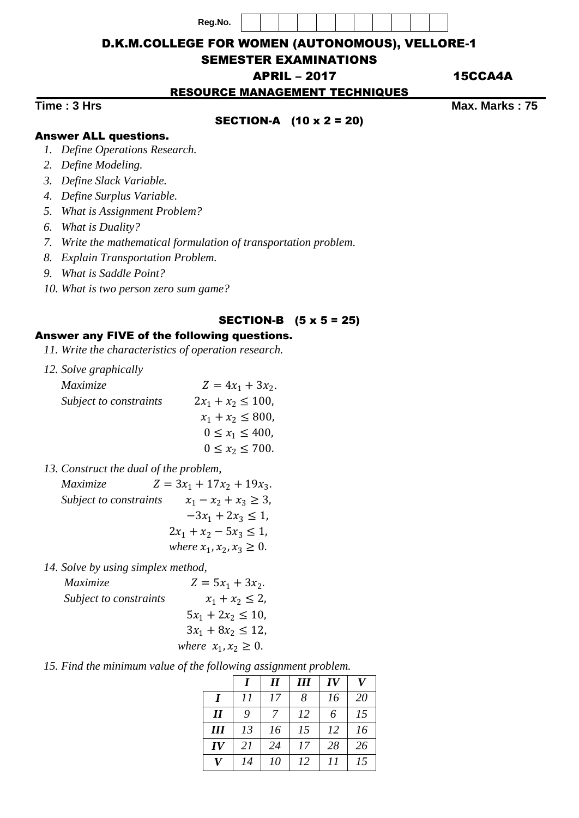**Reg.No.**



### D.K.M.COLLEGE FOR WOMEN (AUTONOMOUS), VELLORE-1

## SEMESTER EXAMINATIONS

APRIL – 2017 15CCA4A

RESOURCE MANAGEMENT TECHNIQUES

## SECTION-A (10 x 2 = 20)

**Time : 3 Hrs** Max. Marks : 75

# Answer ALL questions.

- *1. Define Operations Research.*
- *2. Define Modeling.*
- *3. Define Slack Variable.*
- *4. Define Surplus Variable.*
- *5. What is Assignment Problem?*
- *6. What is Duality?*
- *7. Write the mathematical formulation of transportation problem.*
- *8. Explain Transportation Problem.*
- *9. What is Saddle Point?*
- *10. What is two person zero sum game?*

#### SECTION-B (5 x 5 = 25)

## Answer any FIVE of the following questions.

- *11. Write the characteristics of operation research.*
- *12. Solve graphically*

| <i>Maximize</i>        | $Z = 4x_1 + 3x_2$ .     |
|------------------------|-------------------------|
| Subject to constraints | $2x_1 + x_2 \le 100$    |
|                        | $x_1 + x_2 \le 800$ ,   |
|                        | $0 \leq x_1 \leq 400$ , |
|                        | $0 \le x_2 \le 700$ .   |
|                        |                         |

*13. Construct the dual of the problem,*

*Maximize*  $Z = 3x_1 + 17x_2 + 19x_3$ . *Subject to constraints*  $x_1 - x_2 + x_3 \geq 3$ ,  $-3x_1 + 2x_3 \leq 1$ ,  $2x_1 + x_2 - 5x_3 \leq 1$ , *where*  $x_1, x_2, x_3 \ge 0$ .

*14. Solve by using simplex method,* 

| <i>Maximize</i>        | $Z = 5x_1 + 3x_2$ .       |
|------------------------|---------------------------|
| Subject to constraints | $x_1 + x_2 \leq 2$ ,      |
|                        | $5x_1 + 2x_2 \le 10$      |
|                        | $3x_1 + 8x_2 \le 12$      |
|                        | where $x_1, x_2 \geq 0$ . |

*15. Find the minimum value of the following assignment problem.*

|     |    | $\boldsymbol{\mathit{II}}$ | III | IV | V  |
|-----|----|----------------------------|-----|----|----|
|     | 11 | 17                         | 8   | 16 | 20 |
| I   | 9  | $\overline{7}$             | 12  | 6  | 15 |
| III | 13 | 16                         | 15  | 12 | 16 |
| IV  | 21 | 24                         | 17  | 28 | 26 |
| V   | 14 | 10                         | 12  | 11 | 15 |